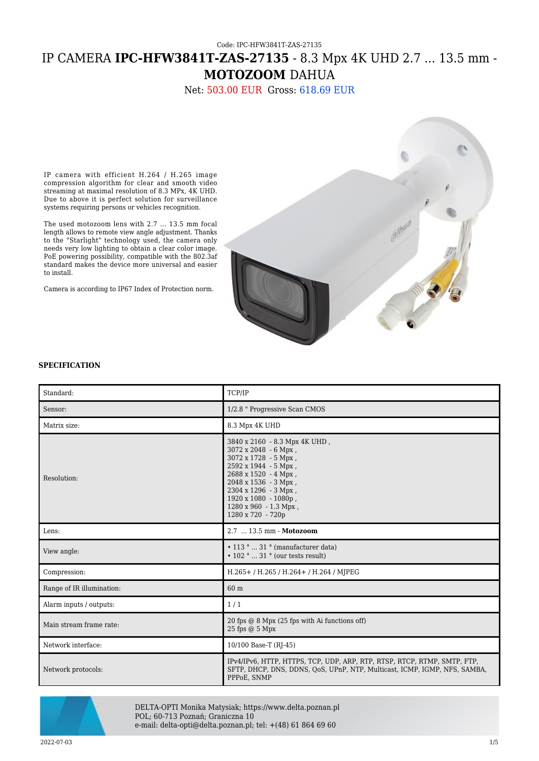## Code: IPC-HFW3841T-ZAS-27135 IP CAMERA **IPC-HFW3841T-ZAS-27135** - 8.3 Mpx 4K UHD 2.7 ... 13.5 mm - **MOTOZOOM** DAHUA

Net: 503.00 EUR Gross: 618.69 EUR

IP camera with efficient H.264 / H.265 image compression algorithm for clear and smooth video streaming at maximal resolution of 8.3 MPx, 4K UHD. Due to above it is perfect solution for surveillance systems requiring persons or vehicles recognition.

The used motozoom lens with 2.7 ... 13.5 mm focal length allows to remote view angle adjustment. Thanks to the "Starlight" technology used, the camera only needs very low lighting to obtain a clear color image. PoE powering possibility, compatible with the 802.3af standard makes the device more universal and easier to install.

Camera is according to IP67 Index of Protection norm.



#### **SPECIFICATION**

| Standard:                 | TCP/IP                                                                                                                                                                                                                                                             |
|---------------------------|--------------------------------------------------------------------------------------------------------------------------------------------------------------------------------------------------------------------------------------------------------------------|
| Sensor:                   | 1/2.8 " Progressive Scan CMOS                                                                                                                                                                                                                                      |
| Matrix size:              | 8.3 Mpx 4K UHD                                                                                                                                                                                                                                                     |
| Resolution:               | 3840 x 2160 - 8.3 Mpx 4K UHD,<br>3072 x 2048 - 6 Mpx,<br>3072 x 1728 - 5 Mpx,<br>2592 x 1944 - 5 Mpx,<br>$2688 \times 1520 - 4 Mpx$ ,<br>$2048 \times 1536 - 3$ Mpx,<br>2304 x 1296 - 3 Mpx,<br>1920 x 1080 - 1080p,<br>1280 x 960 - 1.3 Mpx,<br>1280 x 720 - 720p |
| Lens:                     | 2.7  13.5 mm - Motozoom                                                                                                                                                                                                                                            |
| View angle:               | $\cdot$ 113 °  31 ° (manufacturer data)<br>$\cdot$ 102 °  31 ° (our tests result)                                                                                                                                                                                  |
| Compression:              | H.265+/H.265/H.264+/H.264/MJPEG                                                                                                                                                                                                                                    |
| Range of IR illumination: | 60 m                                                                                                                                                                                                                                                               |
| Alarm inputs / outputs:   | 1/1                                                                                                                                                                                                                                                                |
| Main stream frame rate:   | 20 fps @ 8 Mpx (25 fps with Ai functions off)<br>25 fps @ 5 Mpx                                                                                                                                                                                                    |
| Network interface:        | 10/100 Base-T (RJ-45)                                                                                                                                                                                                                                              |
| Network protocols:        | IPv4/IPv6, HTTP, HTTPS, TCP, UDP, ARP, RTP, RTSP, RTCP, RTMP, SMTP, FTP,<br>SFTP, DHCP, DNS, DDNS, OoS, UPnP, NTP, Multicast, ICMP, IGMP, NFS, SAMBA,<br>PPPoE, SNMP                                                                                               |



DELTA-OPTI Monika Matysiak; https://www.delta.poznan.pl POL; 60-713 Poznań; Graniczna 10 e-mail: delta-opti@delta.poznan.pl; tel: +(48) 61 864 69 60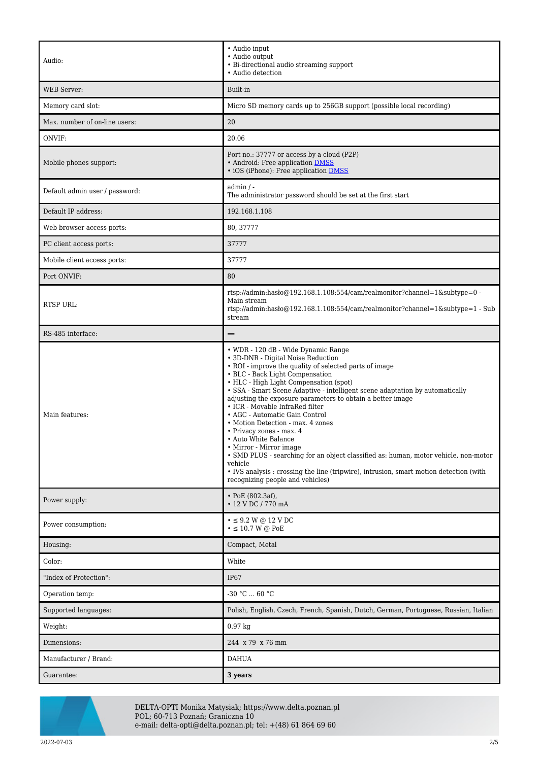| Audio:                         | $\bullet$ Audio input<br>· Audio output<br>• Bi-directional audio streaming support<br>• Audio detection                                                                                                                                                                                                                                                                                                                                                                                                                                                                                                                                                                                                                                                                               |
|--------------------------------|----------------------------------------------------------------------------------------------------------------------------------------------------------------------------------------------------------------------------------------------------------------------------------------------------------------------------------------------------------------------------------------------------------------------------------------------------------------------------------------------------------------------------------------------------------------------------------------------------------------------------------------------------------------------------------------------------------------------------------------------------------------------------------------|
| <b>WEB</b> Server:             | Built-in                                                                                                                                                                                                                                                                                                                                                                                                                                                                                                                                                                                                                                                                                                                                                                               |
| Memory card slot:              | Micro SD memory cards up to 256GB support (possible local recording)                                                                                                                                                                                                                                                                                                                                                                                                                                                                                                                                                                                                                                                                                                                   |
| Max. number of on-line users:  | 20                                                                                                                                                                                                                                                                                                                                                                                                                                                                                                                                                                                                                                                                                                                                                                                     |
| ONVIF:                         | 20.06                                                                                                                                                                                                                                                                                                                                                                                                                                                                                                                                                                                                                                                                                                                                                                                  |
| Mobile phones support:         | Port no.: 37777 or access by a cloud (P2P)<br>• Android: Free application DMSS<br>• iOS (iPhone): Free application DMSS                                                                                                                                                                                                                                                                                                                                                                                                                                                                                                                                                                                                                                                                |
| Default admin user / password: | admin / -<br>The administrator password should be set at the first start                                                                                                                                                                                                                                                                                                                                                                                                                                                                                                                                                                                                                                                                                                               |
| Default IP address:            | 192.168.1.108                                                                                                                                                                                                                                                                                                                                                                                                                                                                                                                                                                                                                                                                                                                                                                          |
| Web browser access ports:      | 80, 37777                                                                                                                                                                                                                                                                                                                                                                                                                                                                                                                                                                                                                                                                                                                                                                              |
| PC client access ports:        | 37777                                                                                                                                                                                                                                                                                                                                                                                                                                                                                                                                                                                                                                                                                                                                                                                  |
| Mobile client access ports:    | 37777                                                                                                                                                                                                                                                                                                                                                                                                                                                                                                                                                                                                                                                                                                                                                                                  |
| Port ONVIF:                    | 80                                                                                                                                                                                                                                                                                                                                                                                                                                                                                                                                                                                                                                                                                                                                                                                     |
| RTSP URL:                      | rtsp://admin:hasło@192.168.1.108:554/cam/realmonitor?channel=1&subtype=0 -<br>Main stream<br>rtsp://admin:haslo@192.168.1.108:554/cam/realmonitor?channel=1&subtype=1 - Sub<br>stream                                                                                                                                                                                                                                                                                                                                                                                                                                                                                                                                                                                                  |
| RS-485 interface:              |                                                                                                                                                                                                                                                                                                                                                                                                                                                                                                                                                                                                                                                                                                                                                                                        |
| Main features:                 | • WDR - 120 dB - Wide Dynamic Range<br>• 3D-DNR - Digital Noise Reduction<br>• ROI - improve the quality of selected parts of image<br>• BLC - Back Light Compensation<br>• HLC - High Light Compensation (spot)<br>· SSA - Smart Scene Adaptive - intelligent scene adaptation by automatically<br>adjusting the exposure parameters to obtain a better image<br>• ICR - Movable InfraRed filter<br>• AGC - Automatic Gain Control<br>• Motion Detection - max. 4 zones<br>• Privacy zones - max. 4<br>• Auto White Balance<br>• Mirror - Mirror image<br>• SMD PLUS - searching for an object classified as: human, motor vehicle, non-motor<br>vehicle<br>• IVS analysis: crossing the line (tripwire), intrusion, smart motion detection (with<br>recognizing people and vehicles) |
| Power supply:                  | $\cdot$ PoE (802.3af),<br>• 12 V DC / 770 mA                                                                                                                                                                                                                                                                                                                                                                                                                                                                                                                                                                                                                                                                                                                                           |
| Power consumption:             | $\bullet \leq 9.2$ W @ 12 V DC<br>$\cdot \leq 10.7$ W @ PoE                                                                                                                                                                                                                                                                                                                                                                                                                                                                                                                                                                                                                                                                                                                            |
| Housing:                       | Compact, Metal                                                                                                                                                                                                                                                                                                                                                                                                                                                                                                                                                                                                                                                                                                                                                                         |
| Color:                         | White                                                                                                                                                                                                                                                                                                                                                                                                                                                                                                                                                                                                                                                                                                                                                                                  |
| "Index of Protection":         | IP <sub>67</sub>                                                                                                                                                                                                                                                                                                                                                                                                                                                                                                                                                                                                                                                                                                                                                                       |
| Operation temp:                | -30 °C  60 °C                                                                                                                                                                                                                                                                                                                                                                                                                                                                                                                                                                                                                                                                                                                                                                          |
| Supported languages:           | Polish, English, Czech, French, Spanish, Dutch, German, Portuguese, Russian, Italian                                                                                                                                                                                                                                                                                                                                                                                                                                                                                                                                                                                                                                                                                                   |
| Weight:                        | $0.97$ kg                                                                                                                                                                                                                                                                                                                                                                                                                                                                                                                                                                                                                                                                                                                                                                              |
| Dimensions:                    | 244 x 79 x 76 mm                                                                                                                                                                                                                                                                                                                                                                                                                                                                                                                                                                                                                                                                                                                                                                       |
| Manufacturer / Brand:          | <b>DAHUA</b>                                                                                                                                                                                                                                                                                                                                                                                                                                                                                                                                                                                                                                                                                                                                                                           |
| Guarantee:                     | 3 years                                                                                                                                                                                                                                                                                                                                                                                                                                                                                                                                                                                                                                                                                                                                                                                |



DELTA-OPTI Monika Matysiak; https://www.delta.poznan.pl POL; 60-713 Poznań; Graniczna 10 e-mail: delta-opti@delta.poznan.pl; tel: +(48) 61 864 69 60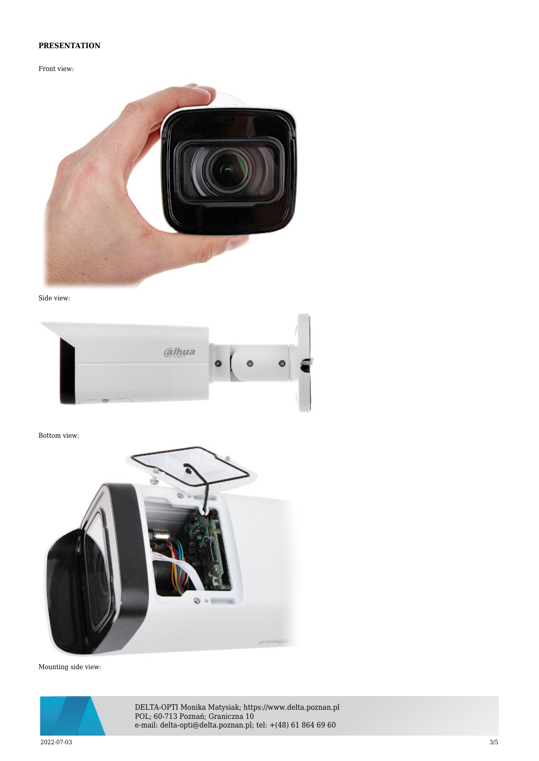### **PRESENTATION**

Front view:



Side view:



Bottom view:



Mounting side view:



DELTA-OPTI Monika Matysiak; https://www.delta.poznan.pl POL; 60-713 Poznań; Graniczna 10 e-mail: delta-opti@delta.poznan.pl; tel: +(48) 61 864 69 60

2022-07-03 3/5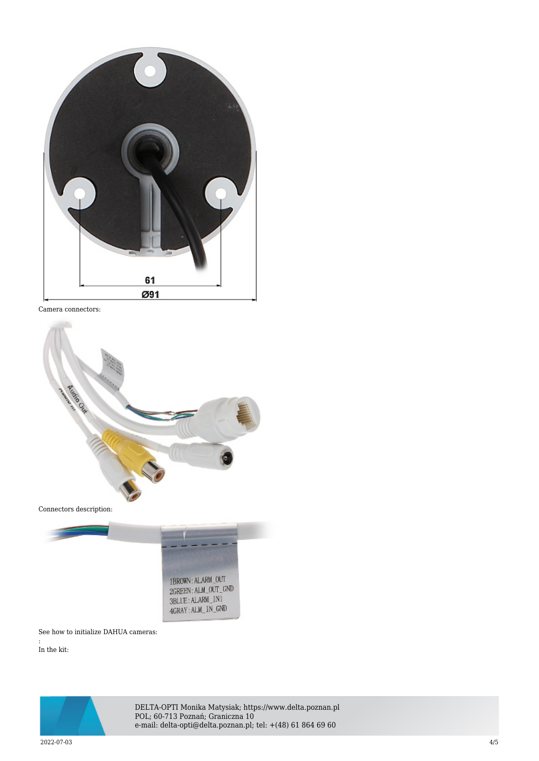

Camera connectors:



Connectors description:



See how to initialize DAHUA cameras:

In the kit:

:



DELTA-OPTI Monika Matysiak; https://www.delta.poznan.pl POL; 60-713 Poznań; Graniczna 10 e-mail: delta-opti@delta.poznan.pl; tel: +(48) 61 864 69 60

2022-07-03 4/5